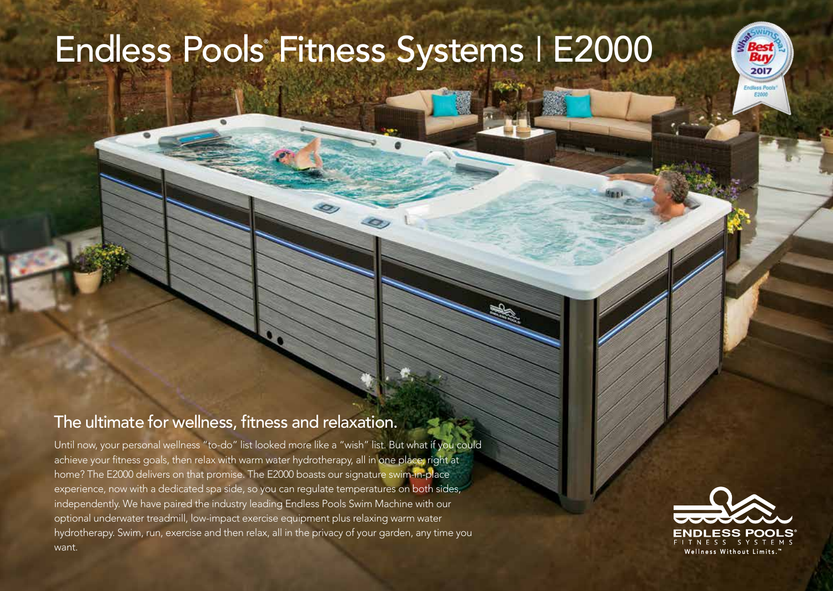## Endless Pools® Fitness Systems I E2000

## The ultimate for wellness, fitness and relaxation.

Until now, your personal wellness "to-do" list looked more like a "wish" list. But what if you could achieve your fitness goals, then relax with warm water hydrotherapy, all in one place, right at home? The E2000 delivers on that promise. The E2000 boasts our signature swim-in-place experience, now with a dedicated spa side, so you can regulate temperatures on both sides, independently. We have paired the industry leading Endless Pools Swim Machine with our optional underwater treadmill, low-impact exercise equipment plus relaxing warm water hydrotherapy. Swim, run, exercise and then relax, all in the privacy of your garden, any time you want.



2017 **Endlass Pool F300**